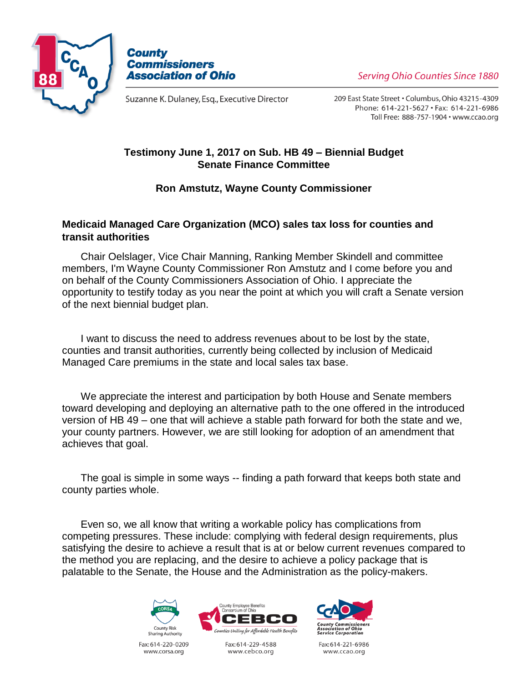



Suzanne K. Dulaney, Esq., Executive Director

**Serving Ohio Counties Since 1880** 

209 East State Street . Columbus, Ohio 43215-4309 Phone: 614-221-5627 · Fax: 614-221-6986 Toll Free: 888-757-1904 · www.ccao.org

## **Testimony June 1, 2017 on Sub. HB 49 – Biennial Budget Senate Finance Committee**

## **Ron Amstutz, Wayne County Commissioner**

## **Medicaid Managed Care Organization (MCO) sales tax loss for counties and transit authorities**

Chair Oelslager, Vice Chair Manning, Ranking Member Skindell and committee members, I'm Wayne County Commissioner Ron Amstutz and I come before you and on behalf of the County Commissioners Association of Ohio. I appreciate the opportunity to testify today as you near the point at which you will craft a Senate version of the next biennial budget plan.

I want to discuss the need to address revenues about to be lost by the state, counties and transit authorities, currently being collected by inclusion of Medicaid Managed Care premiums in the state and local sales tax base.

We appreciate the interest and participation by both House and Senate members toward developing and deploying an alternative path to the one offered in the introduced version of HB 49 – one that will achieve a stable path forward for both the state and we, your county partners. However, we are still looking for adoption of an amendment that achieves that goal.

The goal is simple in some ways -- finding a path forward that keeps both state and county parties whole.

Even so, we all know that writing a workable policy has complications from competing pressures. These include: complying with federal design requirements, plus satisfying the desire to achieve a result that is at or below current revenues compared to the method you are replacing, and the desire to achieve a policy package that is palatable to the Senate, the House and the Administration as the policy-makers.



Fax: 614-220-0209 www.corsa.org



Fax: 614-229-4588 www.cebco.org



Fax: 614-221-6986 www.ccao.org